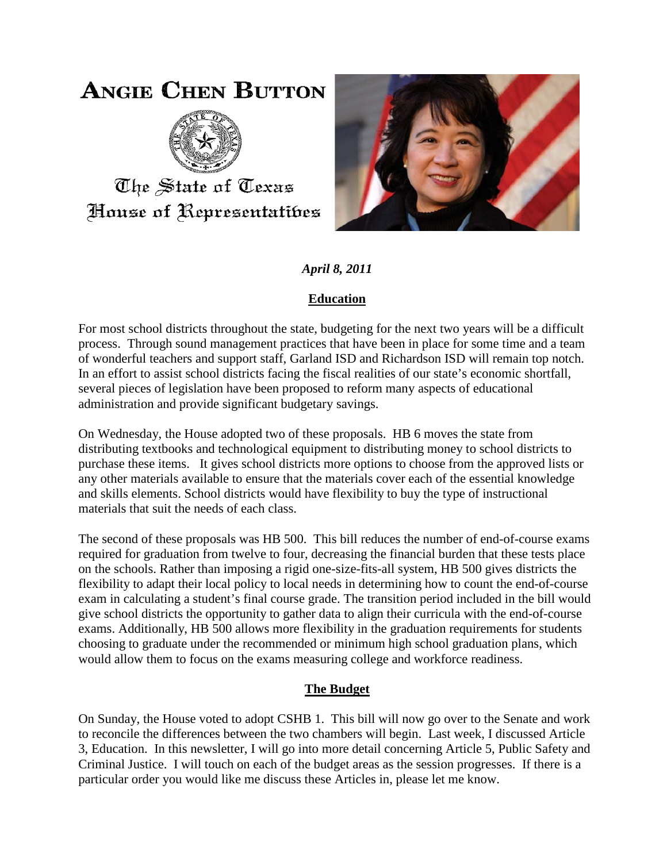## **ANGIE CHEN BUTTON**



The State of Texas House of Representatibes



*April 8, 2011*

## **Education**

For most school districts throughout the state, budgeting for the next two years will be a difficult process. Through sound management practices that have been in place for some time and a team of wonderful teachers and support staff, Garland ISD and Richardson ISD will remain top notch. In an effort to assist school districts facing the fiscal realities of our state's economic shortfall, several pieces of legislation have been proposed to reform many aspects of educational administration and provide significant budgetary savings.

On Wednesday, the House adopted two of these proposals. HB 6 moves the state from distributing textbooks and technological equipment to distributing money to school districts to purchase these items. It gives school districts more options to choose from the approved lists or any other materials available to ensure that the materials cover each of the essential knowledge and skills elements. School districts would have flexibility to buy the type of instructional materials that suit the needs of each class.

The second of these proposals was HB 500. This bill reduces the number of end-of-course exams required for graduation from twelve to four, decreasing the financial burden that these tests place on the schools. Rather than imposing a rigid one-size-fits-all system, HB 500 gives districts the flexibility to adapt their local policy to local needs in determining how to count the end-of-course exam in calculating a student's final course grade. The transition period included in the bill would give school districts the opportunity to gather data to align their curricula with the end-of-course exams. Additionally, HB 500 allows more flexibility in the graduation requirements for students choosing to graduate under the recommended or minimum high school graduation plans, which would allow them to focus on the exams measuring college and workforce readiness.

## **The Budget**

On Sunday, the House voted to adopt CSHB 1. This bill will now go over to the Senate and work to reconcile the differences between the two chambers will begin. Last week, I discussed Article 3, Education. In this newsletter, I will go into more detail concerning Article 5, Public Safety and Criminal Justice. I will touch on each of the budget areas as the session progresses. If there is a particular order you would like me discuss these Articles in, please let me know.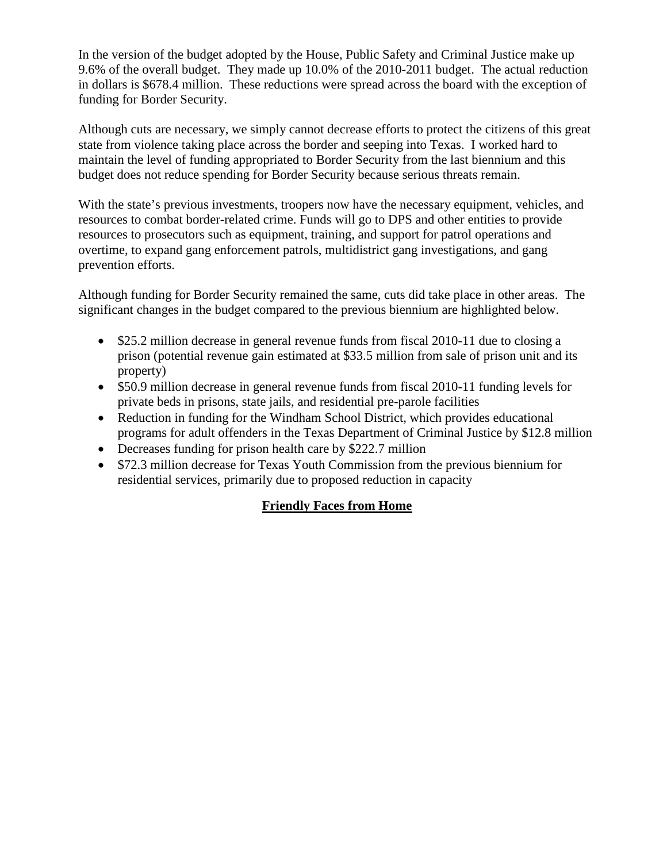In the version of the budget adopted by the House, Public Safety and Criminal Justice make up 9.6% of the overall budget. They made up 10.0% of the 2010-2011 budget. The actual reduction in dollars is \$678.4 million. These reductions were spread across the board with the exception of funding for Border Security.

Although cuts are necessary, we simply cannot decrease efforts to protect the citizens of this great state from violence taking place across the border and seeping into Texas. I worked hard to maintain the level of funding appropriated to Border Security from the last biennium and this budget does not reduce spending for Border Security because serious threats remain.

With the state's previous investments, troopers now have the necessary equipment, vehicles, and resources to combat border-related crime. Funds will go to DPS and other entities to provide resources to prosecutors such as equipment, training, and support for patrol operations and overtime, to expand gang enforcement patrols, multidistrict gang investigations, and gang prevention efforts.

Although funding for Border Security remained the same, cuts did take place in other areas. The significant changes in the budget compared to the previous biennium are highlighted below.

- \$25.2 million decrease in general revenue funds from fiscal 2010-11 due to closing a prison (potential revenue gain estimated at \$33.5 million from sale of prison unit and its property)
- \$50.9 million decrease in general revenue funds from fiscal 2010-11 funding levels for private beds in prisons, state jails, and residential pre-parole facilities
- Reduction in funding for the Windham School District, which provides educational programs for adult offenders in the Texas Department of Criminal Justice by \$12.8 million
- Decreases funding for prison health care by \$222.7 million
- \$72.3 million decrease for Texas Youth Commission from the previous biennium for residential services, primarily due to proposed reduction in capacity

## **Friendly Faces from Home**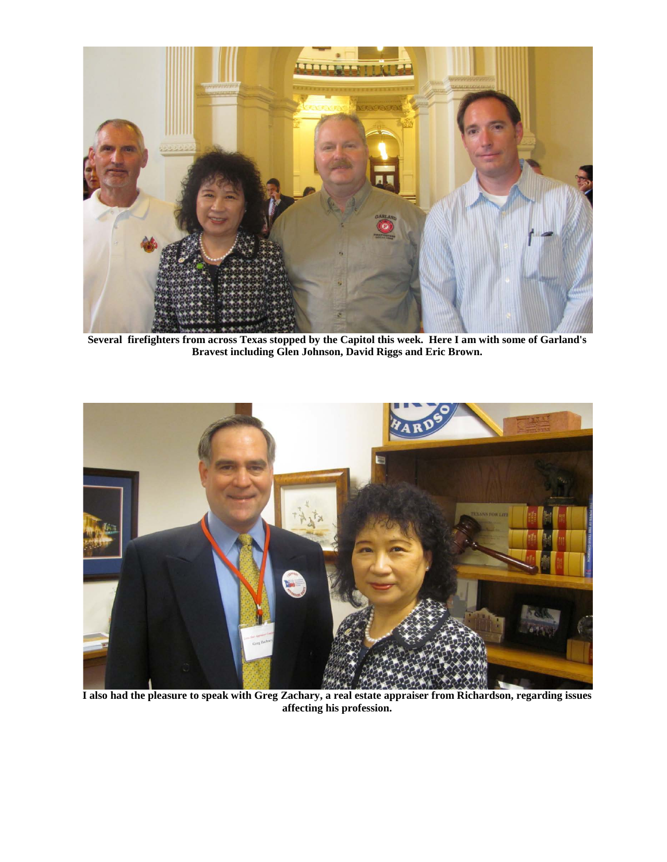

**Several firefighters from across Texas stopped by the Capitol this week. Here I am with some of Garland's Bravest including Glen Johnson, David Riggs and Eric Brown.**



**I also had the pleasure to speak with Greg Zachary, a real estate appraiser from Richardson, regarding issues affecting his profession.**